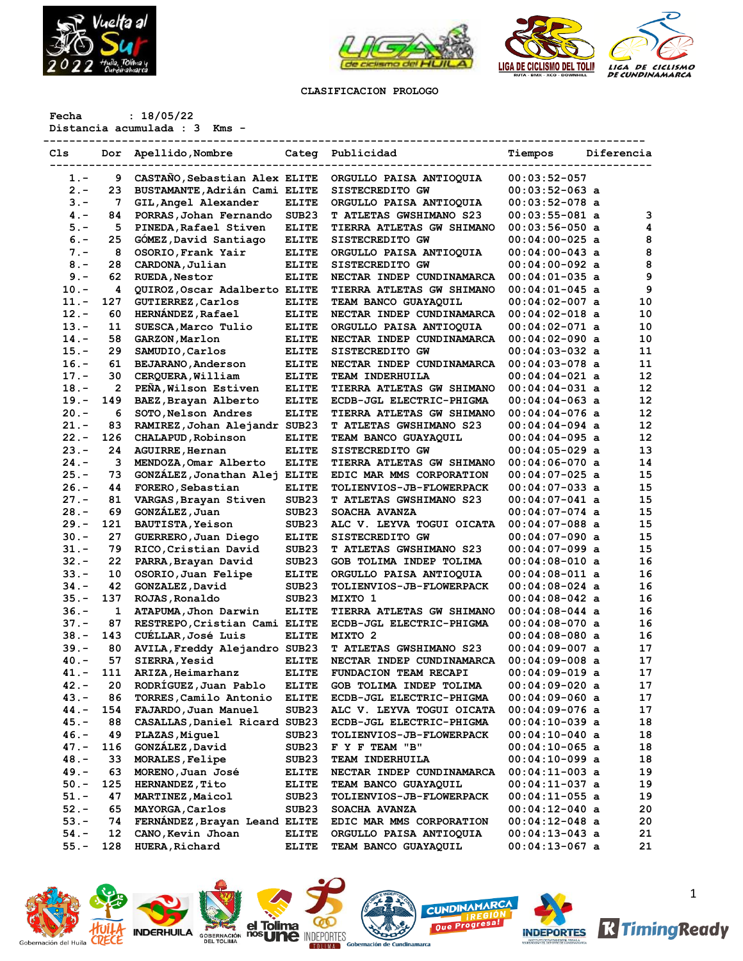



## **CLASIFICACION PROLOGO**

**Fecha : 18/05/22**

**Distancia acumulada : 3 Kms -**

| Cls     | Dor | Apellido, Nombre              |                   | Categ Publicidad                | Tiempos          | Diferencia |
|---------|-----|-------------------------------|-------------------|---------------------------------|------------------|------------|
| $1 -$   | 9   | CASTAÑO, Sebastian Alex ELITE |                   | ORGULLO PAISA ANTIOQUIA         | $00:03:52-057$   |            |
| $2 -$   | 23  | BUSTAMANTE, Adrián Cami ELITE |                   | SISTECREDITO GW                 | $00:03:52-063$ a |            |
| $3 -$   | 7   | GIL, Angel Alexander          | <b>ELITE</b>      | ORGULLO PAISA ANTIOQUIA         | $00:03:52-078$ a |            |
| $4. -$  | 84  | PORRAS, Johan Fernando        | SUB <sub>23</sub> | T ATLETAS GWSHIMANO S23         | $00:03:55-081$ a | 3          |
| $5. -$  | 5   | PINEDA, Rafael Stiven         | <b>ELITE</b>      | TIERRA ATLETAS GW SHIMANO       | $00:03:56-050$ a | 4          |
| $6. -$  | 25  | GOMEZ, David Santiago         | <b>ELITE</b>      | SISTECREDITO GW                 | $00:04:00-025$ a | 8          |
| $7. -$  | 8   | OSORIO, Frank Yair            | <b>ELITE</b>      | ORGULLO PAISA ANTIOQUIA         | $00:04:00-043$ a | 8          |
| $8 -$   | 28  | CARDONA, Julian               | <b>ELITE</b>      | SISTECREDITO GW                 | $00:04:00-092$ a | 8          |
| $9 -$   | 62  | <b>RUEDA, Nestor</b>          | <b>ELITE</b>      | NECTAR INDEP CUNDINAMARCA       | $00:04:01-035$ a | 9          |
| $10. -$ | 4   | QUIROZ, Oscar Adalberto ELITE |                   | TIERRA ATLETAS GW SHIMANO       | $00:04:01-045$ a | 9          |
| 11.-    | 127 | <b>GUTIERREZ, Carlos</b>      | <b>ELITE</b>      | TEAM BANCO GUAYAQUIL            | $00:04:02-007$ a | 10         |
| $12. -$ | 60  | <b>HERNANDEZ, Rafael</b>      | <b>ELITE</b>      | NECTAR INDEP CUNDINAMARCA       | $00:04:02-018$ a | 10         |
| $13. -$ | 11  | SUESCA, Marco Tulio           | <b>ELITE</b>      | ORGULLO PAISA ANTIOQUIA         | $00:04:02-071$ a | 10         |
| $14. -$ | 58  | GARZON, Marlon                | <b>ELITE</b>      | NECTAR INDEP CUNDINAMARCA       | $00:04:02-090$ a | 10         |
| $15. -$ | 29  | SAMUDIO, Carlos               | <b>ELITE</b>      | SISTECREDITO GW                 | $00:04:03-032$ a | 11         |
| $16. -$ | 61  | BEJARANO, Anderson            | <b>ELITE</b>      | NECTAR INDEP CUNDINAMARCA       | $00:04:03-078$ a | 11         |
| $17. -$ | 30  | CERQUERA, William             | <b>ELITE</b>      | TEAM INDERHUILA                 | $00:04:04-021$ a | 12         |
| $18. -$ | 2   | PEÑA, Wilson Estiven          | <b>ELITE</b>      | TIERRA ATLETAS GW SHIMANO       | $00:04:04-031$ a | 12         |
| $19. -$ | 149 |                               | <b>ELITE</b>      | ECDB-JGL ELECTRIC-PHIGMA        | $00:04:04-063$ a | 12         |
| $20 -$  | 6   | BAEZ, Brayan Alberto          | <b>ELITE</b>      | TIERRA ATLETAS GW SHIMANO       | $00:04:04-076$ a | 12         |
|         |     | SOTO, Nelson Andres           |                   |                                 |                  | 12         |
| 21.-    | 83  | RAMIREZ, Johan Alejandr SUB23 |                   | T ATLETAS GWSHIMANO S23         | $00:04:04-094$ a |            |
| $22 -$  | 126 | CHALAPUD, Robinson            | <b>ELITE</b>      | TEAM BANCO GUAYAQUIL            | $00:04:04-095$ a | 12         |
| $23 -$  | 24  | <b>AGUIRRE, Hernan</b>        | <b>ELITE</b>      | SISTECREDITO GW                 | $00:04:05-029$ a | 13         |
| $24. -$ | 3   | MENDOZA, Omar Alberto         | <b>ELITE</b>      | TIERRA ATLETAS GW SHIMANO       | $00:04:06-070$ a | 14         |
| $25. -$ | 73  | GONZALEZ, Jonathan Alej       | <b>ELITE</b>      | EDIC MAR MMS CORPORATION        | $00:04:07-025$ a | 15         |
| $26. -$ | 44  | FORERO, Sebastian             | <b>ELITE</b>      | <b>TOLIENVIOS-JB-FLOWERPACK</b> | $00:04:07-033$ a | 15         |
| $27. -$ | 81  | VARGAS, Brayan Stiven         | SUB <sub>23</sub> | <b>T ATLETAS GWSHIMANO S23</b>  | $00:04:07-041$ a | 15         |
| $28. -$ | 69  | GONZÁLEZ, Juan                | SUB <sub>23</sub> | SOACHA AVANZA                   | $00:04:07-074$ a | 15         |
| $29. -$ | 121 | <b>BAUTISTA, Yeison</b>       | SUB <sub>23</sub> | ALC V. LEYVA TOGUI OICATA       | $00:04:07-088$ a | 15         |
| $30 -$  | 27  | GUERRERO, Juan Diego          | <b>ELITE</b>      | SISTECREDITO GW                 | $00:04:07-090$ a | 15         |
| 31.-    | 79  | RICO, Cristian David          | SUB <sub>23</sub> | T ATLETAS GWSHIMANO S23         | $00:04:07-099$ a | 15         |
| $32 -$  | 22  | PARRA, Brayan David           | SUB <sub>23</sub> | GOB TOLIMA INDEP TOLIMA         | $00:04:08-010$ a | 16         |
| $33 -$  | 10  | OSORIO, Juan Felipe           | <b>ELITE</b>      | ORGULLO PAISA ANTIOQUIA         | $00:04:08-011$ a | 16         |
| $34. -$ | 42  | GONZALEZ, David               | SUB <sub>23</sub> | TOLIENVIOS-JB-FLOWERPACK        | $00:04:08-024$ a | 16         |
| $35. -$ | 137 | ROJAS, Ronaldo                | SUB <sub>23</sub> | MIXTO 1                         | $00:04:08-042$ a | 16         |
| $36. -$ | 1   | ATAPUMA, Jhon Darwin          | <b>ELITE</b>      | TIERRA ATLETAS GW SHIMANO       | $00:04:08-044$ a | 16         |
| $37 -$  | 87  | RESTREPO, Cristian Cami ELITE |                   | ECDB-JGL ELECTRIC-PHIGMA        | $00:04:08-070$ a | 16         |
| $38. -$ | 143 | CUELLAR, José Luis            | <b>ELITE</b>      | MIXTO 2                         | $00:04:08-080$ a | 16         |
| $39. -$ | 80  | AVILA, Freddy Alejandro SUB23 |                   | T ATLETAS GWSHIMANO S23         | $00:04:09-007$ a | 17         |
| $40. -$ | 57  | <b>SIERRA, Yesid</b>          | <b>ELITE</b>      | NECTAR INDEP CUNDINAMARCA       | $00:04:09-008$ a | 17         |
| 41.-    | 111 | ARIZA, Heimarhanz             | <b>ELITE</b>      | FUNDACION TEAM RECAPI           | $00:04:09-019$ a | 17         |
| 42.-    | 20  | RODRÍGUEZ, Juan Pablo         | <b>ELITE</b>      | GOB TOLIMA INDEP TOLIMA         | $00:04:09-020$ a | 17         |
| 43.-    | 86  | TORRES, Camilo Antonio        | <b>ELITE</b>      | ECDB-JGL ELECTRIC-PHIGMA        | $00:04:09-060$ a | 17         |
| 44.-    | 154 | FAJARDO, Juan Manuel          | SUB23             | ALC V. LEYVA TOGUI OICATA       | $00:04:09-076$ a | 17         |
| $45.-$  | 88  | CASALLAS, Daniel Ricard SUB23 |                   | ECDB-JGL ELECTRIC-PHIGMA        | $00:04:10-039$ a | 18         |
| 46.-    | 49  | PLAZAS, Miquel                | SUB23             | <b>TOLIENVIOS-JB-FLOWERPACK</b> | $00:04:10-040$ a | 18         |
| $47. -$ | 116 | GONZÁLEZ, David               | SUB23             | F Y F TEAM "B"                  | $00:04:10-065$ a | 18         |
| $48. -$ | 33  | MORALES, Felipe               | SUB23             | TEAM INDERHUILA                 | $00:04:10-099$ a | 18         |
| $49. -$ | 63  | MORENO, Juan José             | <b>ELITE</b>      | NECTAR INDEP CUNDINAMARCA       | $00:04:11-003$ a | 19         |
| $50. -$ | 125 | HERNANDEZ, Tito               | <b>ELITE</b>      | TEAM BANCO GUAYAQUIL            | $00:04:11-037$ a | 19         |
| $51. -$ | 47  | MARTINEZ, Maicol              | SUB <sub>23</sub> | <b>TOLIENVIOS-JB-FLOWERPACK</b> | $00:04:11-055$ a | 19         |
| $52 -$  | 65  | MAYORGA, Carlos               | SUB23             | SOACHA AVANZA                   | $00:04:12-040$ a | 20         |
| $53. -$ | 74  | FERNÁNDEZ, Brayan Leand ELITE |                   | EDIC MAR MMS CORPORATION        | $00:04:12-048$ a | 20         |
| $54. -$ | 12  | CANO, Kevin Jhoan             | <b>ELITE</b>      | ORGULLO PAISA ANTIOQUIA         | $00:04:13-043$ a | 21         |
| $55. -$ | 128 | <b>HUERA, Richard</b>         | <b>ELITE</b>      | TEAM BANCO GUAYAQUIL            | $00:04:13-067$ a | 21         |











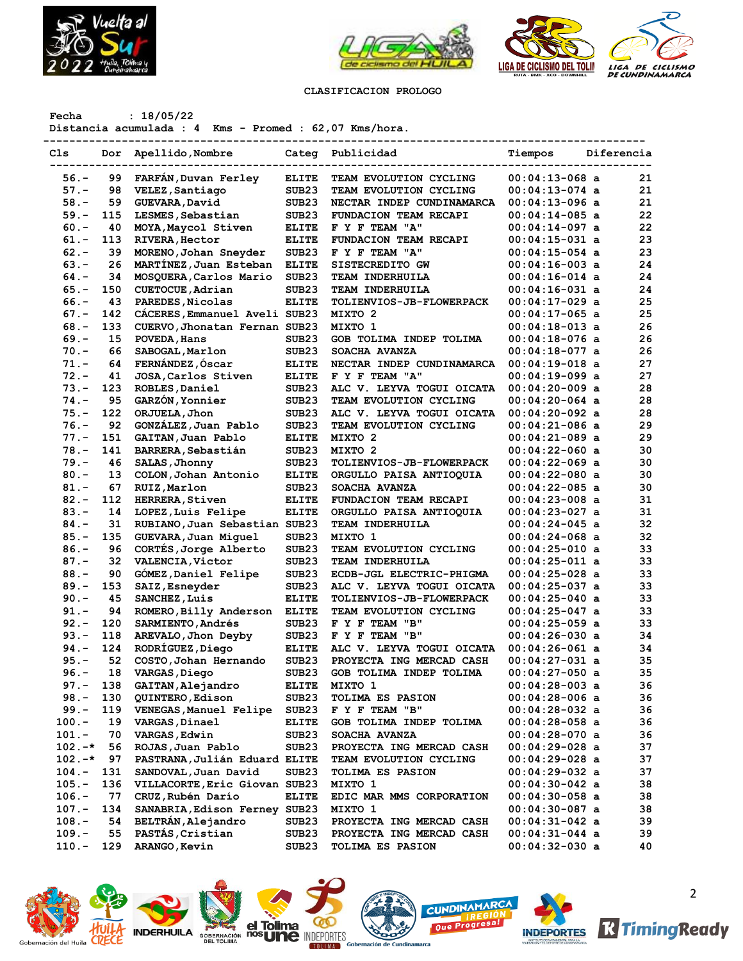



# **CLASIFICACION PROLOGO**

**Fecha : 18/05/22**

**Distancia acumulada : 4 Kms - Promed : 62,07 Kms/hora.**

| Cls                    | Dor       | Apellido, Nombre                                    |                                        | Categ Publicidad                                      | Tiempos                              | Diferencia |
|------------------------|-----------|-----------------------------------------------------|----------------------------------------|-------------------------------------------------------|--------------------------------------|------------|
|                        |           |                                                     |                                        |                                                       |                                      |            |
| $56. -$                | 99        | FARFAN, Duvan Ferley                                | <b>ELITE</b>                           | TEAM EVOLUTION CYCLING                                | $00:04:13-068$ a                     | 21<br>21   |
| $57. -$                | 98<br>59  | VELEZ, Santiago                                     | SUB <sub>23</sub><br>SUB <sub>23</sub> | TEAM EVOLUTION CYCLING                                | $00:04:13-074$ a                     | 21         |
| $58. -$                |           | GUEVARA, David<br>LESMES, Sebastian                 | SUB <sub>23</sub>                      | NECTAR INDEP CUNDINAMARCA                             | $00:04:13-096$ a                     | 22         |
| $59. -$                | 115       |                                                     |                                        | FUNDACION TEAM RECAPI                                 | $00:04:14-085$ a                     |            |
| $60 -$                 | 40        | MOYA, Maycol Stiven                                 | <b>ELITE</b>                           | F Y F TEAM "A"                                        | $00:04:14-097$ a                     | 22<br>23   |
| 61.-                   | 113       | <b>RIVERA, Hector</b>                               | <b>ELITE</b>                           | FUNDACION TEAM RECAPI                                 | $00:04:15-031$ a                     | 23         |
| $62 -$                 | 39        | MORENO, Johan Sneyder                               | SUB <sub>23</sub>                      | F Y F TEAM "A"                                        | $00:04:15-054$ a                     | 24         |
| $63 -$                 | 26<br>34  | MARTINEZ, Juan Esteban                              | <b>ELITE</b>                           | SISTECREDITO GW                                       | $00:04:16-003$ a                     | 24         |
| $64. -$                | 150       | MOSQUERA, Carlos Mario                              | SUB <sub>23</sub>                      | TEAM INDERHUILA                                       | $00:04:16-014$ a                     | 24         |
| $65. -$                |           | CUETOCUE, Adrian                                    | SUB <sub>23</sub>                      | TEAM INDERHUILA                                       | $00:04:16-031$ a                     | 25         |
| $66. -$                | 43        | PAREDES, Nicolas                                    | <b>ELITE</b>                           | TOLIENVIOS-JB-FLOWERPACK                              | $00:04:17-029$ a                     | 25         |
| $67. -$                | 142       | CACERES, Emmanuel Aveli SUB23                       |                                        | MIXTO 2                                               | $00:04:17-065$ a                     | 26         |
| $68. -$                | 133       | CUERVO, Jhonatan Fernan SUB23                       |                                        | MIXTO 1                                               | $00:04:18-013$ a                     | 26         |
| $69. -$                | 15        | POVEDA, Hans                                        | SUB <sub>23</sub>                      | GOB TOLIMA INDEP TOLIMA                               | $00:04:18-076$ a                     |            |
| $70. -$                | 66        | SABOGAL, Marlon                                     | SUB <sub>23</sub>                      | SOACHA AVANZA                                         | $00:04:18-077$ a                     | 26         |
| 71.-                   | 64        | FERNÁNDEZ, Óscar                                    | <b>ELITE</b>                           | NECTAR INDEP CUNDINAMARCA                             | $00:04:19-018$ a                     | 27         |
| $72. -$                | 41        | JOSA, Carlos Stiven                                 | <b>ELITE</b>                           | F Y F TEAM "A"                                        | $00:04:19-099$ a                     | 27         |
| $73. -$                | 123       | ROBLES, Daniel                                      | SUB <sub>23</sub>                      | ALC V. LEYVA TOGUI OICATA                             | $00:04:20-009$ a                     | 28         |
| $74. -$                | 95        | GARZÓN, Yonnier                                     | SUB <sub>23</sub><br>SUB <sub>23</sub> | TEAM EVOLUTION CYCLING                                | $00:04:20-064$ a                     | 28<br>28   |
| $75. -$                | 122       | ORJUELA, Jhon                                       |                                        | ALC V. LEYVA TOGUI OICATA                             | $00:04:20-092$ a                     |            |
| $76. -$                | 92        | GONZÁLEZ, Juan Pablo                                | SUB <sub>23</sub>                      | TEAM EVOLUTION CYCLING                                | $00:04:21-086$ a                     | 29         |
| $77. -$                | 151       | GAITAN, Juan Pablo                                  | <b>ELITE</b>                           | MIXTO 2                                               | $00:04:21-089$ a                     | 29         |
| $78. -$                | 141       | <b>BARRERA, Sebastián</b>                           | SUB <sub>23</sub>                      | MIXTO 2                                               | $00:04:22-060$ a                     | 30         |
| $79. -$                | 46        | SALAS, Jhonny                                       | SUB <sub>23</sub>                      | TOLIENVIOS-JB-FLOWERPACK                              | $00:04:22-069$ a                     | 30         |
| $80. -$                | 13        | COLON, Johan Antonio                                | <b>ELITE</b>                           | ORGULLO PAISA ANTIOQUIA                               | $00:04:22-080$ a                     | 30         |
| $81. -$                | 67        | RUIZ, Marlon                                        | SUB <sub>23</sub>                      | SOACHA AVANZA                                         | $00:04:22-085$ a                     | 30         |
| $82 -$                 | 112       | <b>HERRERA, Stiven</b>                              | <b>ELITE</b>                           | FUNDACION TEAM RECAPI                                 | $00:04:23-008$ a                     | 31         |
| $83 -$                 | 14        | LOPEZ, Luis Felipe                                  | <b>ELITE</b>                           | ORGULLO PAISA ANTIOQUIA                               | $00:04:23-027$ a                     | 31         |
| $84. -$                | 31        | RUBIANO, Juan Sebastian SUB23                       |                                        | TEAM INDERHUILA                                       | $00:04:24-045$ a                     | 32         |
| $85. -$                | 135       | GUEVARA, Juan Miquel                                | SUB <sub>23</sub>                      | MIXTO 1                                               | $00:04:24-068$ a                     | 32         |
| $86. -$                | 96        | CORTÉS, Jorge Alberto                               | SUB <sub>23</sub>                      | TEAM EVOLUTION CYCLING                                | $00:04:25-010$ a                     | 33         |
| $87. -$                | 32        | <b>VALENCIA, Victor</b>                             | SUB <sub>23</sub>                      | <b>TEAM INDERHUILA</b>                                | $00:04:25-011$ a                     | 33         |
| $88. -$                | 90        | GÓMEZ, Daniel Felipe                                | SUB <sub>23</sub>                      | ECDB-JGL ELECTRIC-PHIGMA                              | $00:04:25-028$ a                     | 33         |
| $89. -$                | 153       | SAIZ, Esneyder                                      | SUB <sub>23</sub>                      | ALC V. LEYVA TOGUI OICATA                             | $00:04:25-037$ a                     | 33         |
| $90 -$                 | 45        | SANCHEZ, Luis                                       | <b>ELITE</b>                           | <b>TOLIENVIOS-JB-FLOWERPACK</b>                       | $00:04:25-040$ a                     | 33         |
| $91 -$                 | 94        | ROMERO, Billy Anderson                              | <b>ELITE</b>                           | TEAM EVOLUTION CYCLING                                | $00:04:25-047$ a                     | 33         |
| $92 -$                 | 120       | SARMIENTO, Andrés                                   | SUB <sub>23</sub>                      | F Y F TEAM "B"                                        | $00:04:25-059$ a                     | 33         |
| $93 -$                 | 118       | AREVALO, Jhon Deyby                                 | SUB <sub>23</sub>                      | F Y F TEAM "B"                                        | $00:04:26-030$ a                     | 34         |
| $94. -$                | 124       | RODRÍGUEZ, Diego                                    | ELITE<br>SUB <sub>23</sub>             | ALC V. LEYVA TOGUI OICATA<br>PROYECTA ING MERCAD CASH | $00:04:26-061$ a                     | 34<br>35   |
| $95. -$                | 52        | COSTO, Johan Hernando                               |                                        |                                                       | $00:04:27-031$ a                     |            |
| $96. -$                | 18        | VARGAS, Diego                                       | SUB <sub>23</sub>                      | GOB TOLIMA INDEP TOLIMA                               | $00:04:27-050$ a                     | 35         |
| 97.-                   | 138       | GAITAN, Alejandro                                   | <b>ELITE</b>                           | MIXTO 1                                               | $00:04:28-003$ a                     | 36         |
| $98. -$                | 130       | QUINTERO, Edison                                    | SUB23                                  | TOLIMA ES PASION                                      | $00:04:28-006$ a                     | 36         |
| $99. -$                | 119       | VENEGAS, Manuel Felipe                              | SUB <sub>23</sub>                      | F Y F TEAM "B"                                        | $00:04:28-032$ a                     | 36         |
| 100.-                  | 19        | <b>VARGAS, Dinael</b>                               | <b>ELITE</b>                           | GOB TOLIMA INDEP TOLIMA                               | $00:04:28-058$ a                     | 36         |
| $101. -$               | 70        | <b>VARGAS, Edwin</b>                                | SUB <sub>23</sub>                      | SOACHA AVANZA                                         | $00:04:28-070$ a                     | 36         |
| $102. -*$<br>$102. -*$ | 56<br>97  | ROJAS, Juan Pablo                                   | SUB <sub>23</sub>                      | PROYECTA ING MERCAD CASH                              | $00:04:29-028$ a                     | 37         |
|                        |           | PASTRANA, Julián Eduard ELITE                       |                                        | TEAM EVOLUTION CYCLING                                | 00:04:29-028 a                       | 37         |
| $104.-$                | 131       | SANDOVAL, Juan David                                | SUB23                                  | TOLIMA ES PASION<br>MIXTO 1                           | $00:04:29-032$ a                     | 37         |
| $105.-$<br>$106. -$    | 136<br>77 | VILLACORTE, Eric Giovan SUB23<br>CRUZ, Rubén Darío  | <b>ELITE</b>                           |                                                       | $00:04:30-042$ a                     | 38<br>38   |
|                        | 134       |                                                     |                                        | EDIC MAR MMS CORPORATION                              | $00:04:30-058$ a                     |            |
| 107.-<br>$108. -$      | 54        | SANABRIA, Edison Ferney SUB23<br>BELTRÁN, Alejandro |                                        | MIXTO 1                                               | $00:04:30-087$ a                     | 38<br>39   |
| $109. -$               | 55        | PASTÁS, Cristian                                    | SUB23<br>SUB23                         | PROYECTA ING MERCAD CASH<br>PROYECTA ING MERCAD CASH  | $00:04:31-042$ a<br>$00:04:31-044$ a | 39         |
| 110.-                  | 129       | ARANGO, Kevin                                       | SUB <sub>23</sub>                      | <b>TOLIMA ES PASION</b>                               | 00:04:32-030 a                       | 40         |
|                        |           |                                                     |                                        |                                                       |                                      |            |













2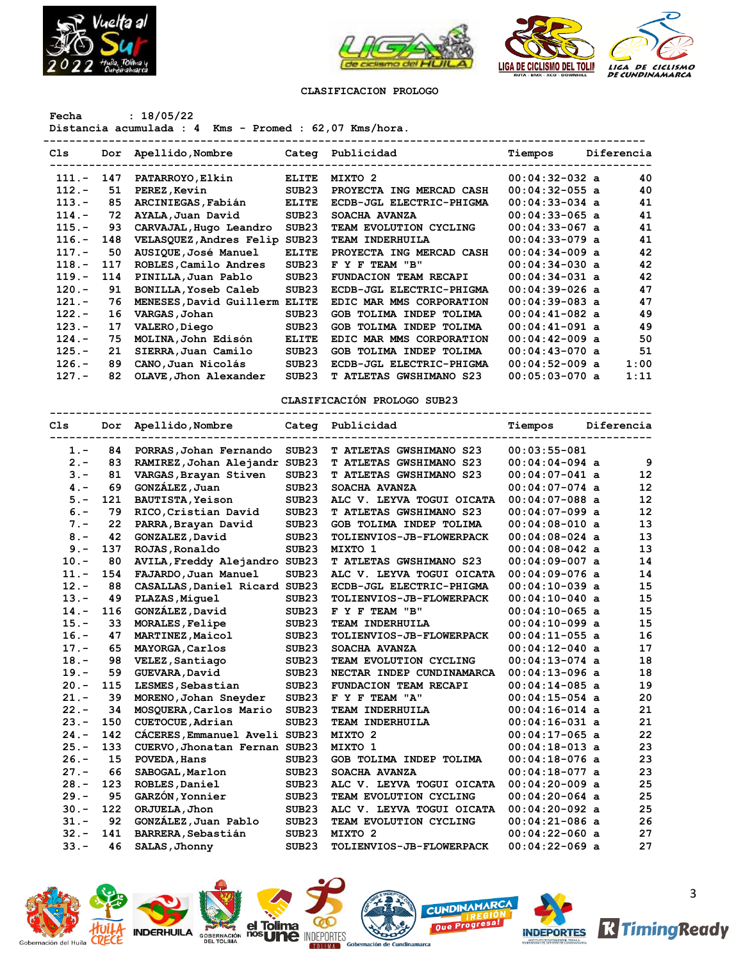



#### **CLASIFICACION PROLOGO**

### **Fecha : 18/05/22**

**Distancia acumulada : 4 Kms - Promed : 62,07 Kms/hora.**

| Cls      | Dor | Apellido, Nombre        |                   | Categ Publicidad               | Tiempos          | Diferencia |      |
|----------|-----|-------------------------|-------------------|--------------------------------|------------------|------------|------|
| $111. -$ | 147 | PATARROYO, Elkin        | <b>ELITE</b>      | MIXTO 2                        | $00:04:32-032$ a |            | 40   |
| $112. -$ | 51  | PEREZ, Kevin            | SUB <sub>23</sub> | PROYECTA ING MERCAD CASH       | $00:04:32-055$ a |            | 40   |
| $113. -$ | 85  | ARCINIEGAS, Fabián      | <b>ELITE</b>      | ECDB-JGL ELECTRIC-PHIGMA       | $00:04:33-034$ a |            | 41   |
| $114. -$ | 72  | AYALA, Juan David       | SUB <sub>23</sub> | SOACHA AVANZA                  | $00:04:33-065$ a |            | 41   |
| $115. -$ | 93  | CARVAJAL, Hugo Leandro  | SUB <sub>23</sub> | TEAM EVOLUTION CYCLING         | $00:04:33-067$ a |            | 41   |
| $116. -$ | 148 | VELASQUEZ, Andres Felip | SUB23             | TEAM INDERHUILA                | $00:04:33-079$ a |            | 41   |
| $117. -$ | 50  | AUSIQUE, José Manuel    | <b>ELITE</b>      | PROYECTA ING MERCAD CASH       | $00:04:34-009$ a |            | 42   |
| $118. -$ | 117 | ROBLES, Camilo Andres   | SUB23             | F Y F TEAM "B"                 | $00:04:34-030$ a |            | 42   |
| $119. -$ | 114 | PINILLA, Juan Pablo     | SUB <sub>23</sub> | <b>FUNDACION TEAM RECAPI</b>   | $00:04:34-031$ a |            | 42   |
| $120 -$  | 91  | BONILLA, Yoseb Caleb    | SUB <sub>23</sub> | ECDB-JGL ELECTRIC-PHIGMA       | $00:04:39-026$ a |            | 47   |
| $121. -$ | 76  | MENESES, David Guillerm | <b>ELITE</b>      | EDIC MAR MMS CORPORATION       | $00:04:39-083$ a |            | 47   |
| $122 -$  | 16  | VARGAS, Johan           | SUB <sub>23</sub> | GOB TOLIMA INDEP TOLIMA        | $00:04:41-082$ a |            | 49   |
| $123 -$  | 17  | VALERO, Diego           | SUB <sub>23</sub> | GOB TOLIMA INDEP TOLIMA        | $00:04:41-091$ a |            | 49   |
| $124. -$ | 75  | MOLINA, John Edisón     | <b>ELITE</b>      | EDIC MAR MMS CORPORATION       | $00:04:42-009$ a |            | 50   |
| $125. -$ | 21  | SIERRA, Juan Camilo     | SUB <sub>23</sub> | GOB TOLIMA INDEP TOLIMA        | $00:04:43-070$ a |            | 51   |
| $126. -$ | 89  | CANO, Juan Nicolás      | SUB <sub>23</sub> | ECDB-JGL ELECTRIC-PHIGMA       | $00:04:52-009$ a |            | 1:00 |
| $127 -$  | 82  | OLAVE, Jhon Alexander   | SUB <sub>23</sub> | <b>T ATLETAS GWSHIMANO S23</b> | $00:05:03-070$ a |            | 1:11 |
|          |     |                         |                   |                                |                  |            |      |

#### **CLASIFICACIÓN PROLOGO SUB23**

### **-------------------------------------------------------------------------------------------- Cls Dor Apellido,Nombre Categ Publicidad Tiempos Diferencia -------------------------------------------------------------------------------------------- 1.- 84 PORRAS,Johan Fernando SUB23 T ATLETAS GWSHIMANO S23 00:03:55-081 2.- 83 RAMIREZ,Johan Alejandr SUB23 T ATLETAS GWSHIMANO S23 00:04:04-094 a 9 3.- 81 VARGAS,Brayan Stiven SUB23 T ATLETAS GWSHIMANO S23 00:04:07-041 a 12 4.- 69 GONZÁLEZ,Juan SUB23 SOACHA AVANZA 00:04:07-074 a 12 5.- 121 BAUTISTA,Yeison SUB23 ALC V. LEYVA TOGUI OICATA 00:04:07-088 a 12 6.- 79 RICO,Cristian David SUB23 T ATLETAS GWSHIMANO S23 00:04:07-099 a 12 7.- 22 PARRA,Brayan David SUB23 GOB TOLIMA INDEP TOLIMA 00:04:08-010 a 13 8.- 42 GONZALEZ,David SUB23 TOLIENVIOS-JB-FLOWERPACK 00:04:08-024 a 13 9.- 137 ROJAS,Ronaldo SUB23 MIXTO 1 00:04:08-042 a 13 10.- 80 AVILA,Freddy Alejandro SUB23 T ATLETAS GWSHIMANO S23 00:04:09-007 a 14 11.- 154 FAJARDO,Juan Manuel SUB23 ALC V. LEYVA TOGUI OICATA 00:04:09-076 a 14 12.- 88 CASALLAS,Daniel Ricard SUB23 ECDB-JGL ELECTRIC-PHIGMA 00:04:10-039 a 15 13.- 49 PLAZAS,Miguel SUB23 TOLIENVIOS-JB-FLOWERPACK 00:04:10-040 a 15 14.- 116 GONZÁLEZ,David SUB23 F Y F TEAM "B" 00:04:10-065 a 15 15.- 33 MORALES,Felipe SUB23 TEAM INDERHUILA 00:04:10-099 a 15 16.- 47 MARTINEZ,Maicol SUB23 TOLIENVIOS-JB-FLOWERPACK 00:04:11-055 a 16 17.- 65 MAYORGA,Carlos SUB23 SOACHA AVANZA 00:04:12-040 a 17 18.- 98 VELEZ,Santiago SUB23 TEAM EVOLUTION CYCLING 00:04:13-074 a 18 19.- 59 GUEVARA,David SUB23 NECTAR INDEP CUNDINAMARCA 00:04:13-096 a 18 20.- 115 LESMES,Sebastian SUB23 FUNDACION TEAM RECAPI 00:04:14-085 a 19 21.- 39 MORENO,Johan Sneyder SUB23 F Y F TEAM "A" 00:04:15-054 a 20 22.- 34 MOSQUERA,Carlos Mario SUB23 TEAM INDERHUILA 00:04:16-014 a 21 23.- 150 CUETOCUE,Adrian SUB23 TEAM INDERHUILA 00:04:16-031 a 21 24.- 142 CÁCERES,Emmanuel Aveli SUB23 MIXTO 2 00:04:17-065 a 22 25.- 133 CUERVO,Jhonatan Fernan SUB23 MIXTO 1 00:04:18-013 a 23 26.- 15 POVEDA,Hans SUB23 GOB TOLIMA INDEP TOLIMA 00:04:18-076 a 23 27.- 66 SABOGAL,Marlon SUB23 SOACHA AVANZA 00:04:18-077 a 23 28.- 123 ROBLES,Daniel SUB23 ALC V. LEYVA TOGUI OICATA 00:04:20-009 a 25 29.- 95 GARZÓN,Yonnier SUB23 TEAM EVOLUTION CYCLING 00:04:20-064 a 25 30.- 122 ORJUELA,Jhon SUB23 ALC V. LEYVA TOGUI OICATA 00:04:20-092 a 25 31.- 92 GONZÁLEZ,Juan Pablo SUB23 TEAM EVOLUTION CYCLING 00:04:21-086 a 26 32.- 141 BARRERA,Sebastián SUB23 MIXTO 2 00:04:22-060 a 27 33.- 46 SALAS,Jhonny SUB23 TOLIENVIOS-JB-FLOWERPACK 00:04:22-069 a 27**

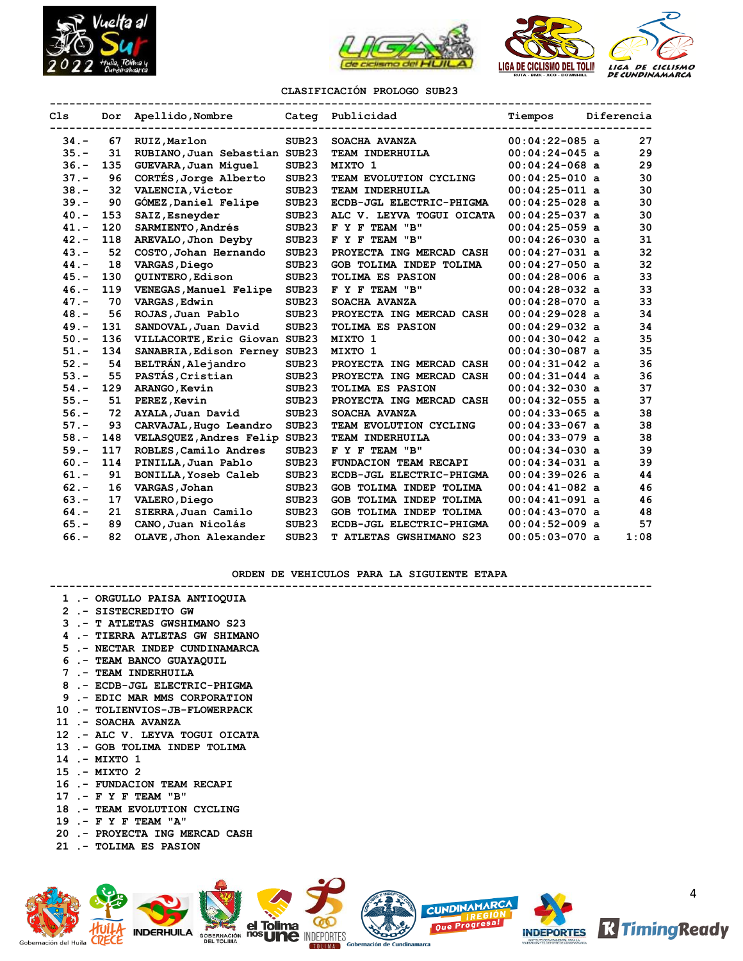



#### **CLASIFICACIÓN PROLOGO SUB23**

| C <sub>1s</sub> |     | Dor Apellido, Nombre          |                   | Categ Publicidad          | Tiempos          | Diferencia |      |
|-----------------|-----|-------------------------------|-------------------|---------------------------|------------------|------------|------|
|                 |     |                               |                   |                           |                  |            |      |
| $34. -$         | 67  | RUIZ, Marlon                  | SUB <sub>23</sub> | SOACHA AVANZA             | $00:04:22-085$ a |            | 27   |
| $35. -$         | 31  | RUBIANO, Juan Sebastian SUB23 |                   | TEAM INDERHUILA           | $00:04:24-045$ a |            | 29   |
| $36. -$         | 135 | GUEVARA, Juan Miquel          | SUB <sub>23</sub> | MIXTO 1                   | $00:04:24-068$ a |            | 29   |
| $37 -$          | 96  | CORTÉS, Jorge Alberto         | SUB <sub>23</sub> | TEAM EVOLUTION CYCLING    | $00:04:25-010$ a |            | 30   |
| $38 -$          | 32  | VALENCIA, Victor              | SUB <sub>23</sub> | TEAM INDERHUILA           | $00:04:25-011$ a |            | 30   |
| $39. -$         | 90  | <b>GOMEZ, Daniel Felipe</b>   | SUB23             | ECDB-JGL ELECTRIC-PHIGMA  | $00:04:25-028$ a |            | 30   |
| $40. -$         | 153 | SAIZ, Esneyder                | SUB <sub>23</sub> | ALC V. LEYVA TOGUI OICATA | $00:04:25-037$ a |            | 30   |
| $41. -$         | 120 | SARMIENTO, Andrés             | SUB <sub>23</sub> | F Y F TEAM "B"            | $00:04:25-059$ a |            | 30   |
| $42 -$          | 118 | AREVALO, Jhon Deyby           | SUB <sub>23</sub> | F Y F TEAM "B"            | $00:04:26-030$ a |            | 31   |
| $43 -$          | 52  | COSTO, Johan Hernando         | SUB <sub>23</sub> | PROYECTA ING MERCAD CASH  | $00:04:27-031$ a |            | 32   |
| $44. -$         | 18  | VARGAS, Diego                 | SUB23             | GOB TOLIMA INDEP TOLIMA   | $00:04:27-050$ a |            | 32   |
| $45. -$         | 130 | QUINTERO, Edison              | SUB <sub>23</sub> | TOLIMA ES PASION          | $00:04:28-006$ a |            | 33   |
| $46. -$         | 119 | VENEGAS, Manuel Felipe        | SUB <sub>23</sub> | F Y F TEAM "B"            | $00:04:28-032$ a |            | 33   |
| $47. -$         | 70  | VARGAS, Edwin                 | SUB <sub>23</sub> | SOACHA AVANZA             | $00:04:28-070$ a |            | 33   |
| $48. -$         | 56  | ROJAS, Juan Pablo             | SUB <sub>23</sub> | PROYECTA ING MERCAD CASH  | $00:04:29-028$ a |            | 34   |
| $49. -$         | 131 | SANDOVAL, Juan David          | SUB23             | TOLIMA ES PASION          | $00:04:29-032$ a |            | 34   |
| $50. -$         | 136 | VILLACORTE, Eric Giovan SUB23 |                   | MIXTO 1                   | $00:04:30-042$ a |            | 35   |
| $51. -$         | 134 | SANABRIA, Edison Ferney SUB23 |                   | MIXTO 1                   | $00:04:30-087$ a |            | 35   |
| $52 -$          | 54  | BELTRÁN, Alejandro            | SUB <sub>23</sub> | PROYECTA ING MERCAD CASH  | $00:04:31-042$ a |            | 36   |
| $53. -$         | 55  | PASTÁS, Cristian              | SUB <sub>23</sub> | PROYECTA ING MERCAD CASH  | $00:04:31-044$ a |            | 36   |
| $54. -$         | 129 | ARANGO, Kevin                 | SUB <sub>23</sub> | <b>TOLIMA ES PASION</b>   | $00:04:32-030$ a |            | 37   |
| $55. -$         | 51  | PEREZ, Kevin                  | SUB <sub>23</sub> | PROYECTA ING MERCAD CASH  | $00:04:32-055$ a |            | 37   |
| $56. -$         | 72  | AYALA, Juan David             | SUB <sub>23</sub> | SOACHA AVANZA             | $00:04:33-065$ a |            | 38   |
| $57. -$         | 93  | CARVAJAL, Hugo Leandro        | SUB <sub>23</sub> | TEAM EVOLUTION CYCLING    | $00:04:33-067$ a |            | 38   |
| $58. -$         | 148 | VELASQUEZ, Andres Felip       | SUB <sub>23</sub> | TEAM INDERHUILA           | $00:04:33-079$ a |            | 38   |
| $59. -$         | 117 | ROBLES, Camilo Andres         | SUB <sub>23</sub> | F Y F TEAM "B"            | $00:04:34-030$ a |            | 39   |
| $60 -$          | 114 | PINILLA, Juan Pablo           | SUB <sub>23</sub> | FUNDACION TEAM RECAPI     | $00:04:34-031$ a |            | 39   |
| $61 -$          | 91  | BONILLA, Yoseb Caleb          | SUB <sub>23</sub> | ECDB-JGL ELECTRIC-PHIGMA  | $00:04:39-026$ a |            | 44   |
| $62 -$          | 16  | VARGAS, Johan                 | SUB23             | GOB TOLIMA INDEP TOLIMA   | $00:04:41-082$ a |            | 46   |
| $63 -$          | 17  | VALERO, Diego                 | SUB <sub>23</sub> | GOB TOLIMA INDEP TOLIMA   | $00:04:41-091$ a |            | 46   |
| $64. -$         | 21  | SIERRA, Juan Camilo           | SUB <sub>23</sub> | GOB TOLIMA INDEP TOLIMA   | $00:04:43-070$ a |            | 48   |
| $65. -$         | 89  | CANO, Juan Nicolás            | SUB <sub>23</sub> | ECDB-JGL ELECTRIC-PHIGMA  | $00:04:52-009$ a |            | 57   |
| $66. -$         | 82  | OLAVE, Jhon Alexander         | SUB <sub>23</sub> | T ATLETAS GWSHIMANO S23   | $00:05:03-070$ a |            | 1:08 |
|                 |     |                               |                   |                           |                  |            |      |

**ORDEN DE VEHICULOS PARA LA SIGUIENTE ETAPA**

#### **--------------------------------------------------------------------------------------------**

- **1 .- ORGULLO PAISA ANTIOQUIA**
- **2 .- SISTECREDITO GW**
- **3 .- T ATLETAS GWSHIMANO S23**
- **4 .- TIERRA ATLETAS GW SHIMANO**
- **5 .- NECTAR INDEP CUNDINAMARCA**
- **6 .- TEAM BANCO GUAYAQUIL**
- **7 .- TEAM INDERHUILA**
- **8 .- ECDB-JGL ELECTRIC-PHIGMA**
- **9 .- EDIC MAR MMS CORPORATION**
- **10 .- TOLIENVIOS-JB-FLOWERPACK**
- **11 .- SOACHA AVANZA**
- **12 .- ALC V. LEYVA TOGUI OICATA**
- **13 .- GOB TOLIMA INDEP TOLIMA**
- **14 .- MIXTO 1**
- **15 .- MIXTO 2**
- **16 .- FUNDACION TEAM RECAPI**
- **17 .- F Y F TEAM "B"**
- **18 .- TEAM EVOLUTION CYCLING**
- **19 .- F Y F TEAM "A"**
- **20 .- PROYECTA ING MERCAD CASH**
- **21 .- TOLIMA ES PASION**

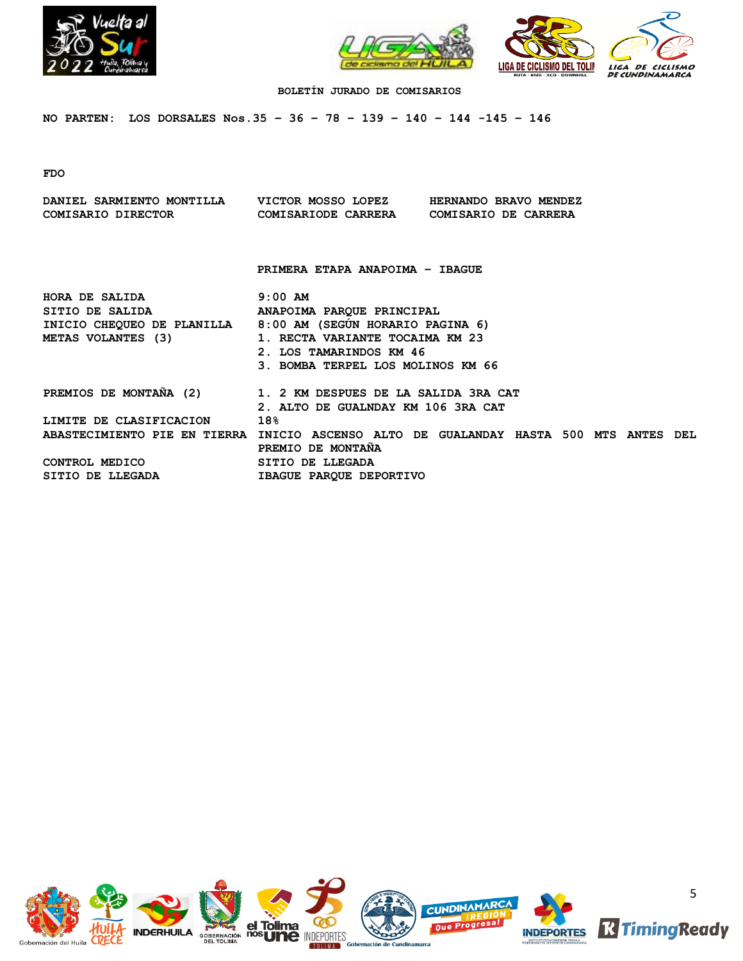



# **BOLETÍN JURADO DE COMISARIOS**

**NO PARTEN: LOS DORSALES Nos.35 – 36 – 78 – 139 – 140 – 144 -145 – 146**

**FDO**

| DANIEL SARMIENTO MONTILLA VICTOR MOSSO LOPEZ<br>COMISARIO DIRECTOR COMISARIODE CARRERA COMISARIO DE CARRERA                                       |                                                                                                              | HERNANDO BRAVO MENDEZ |  |  |
|---------------------------------------------------------------------------------------------------------------------------------------------------|--------------------------------------------------------------------------------------------------------------|-----------------------|--|--|
|                                                                                                                                                   | PRIMERA ETAPA ANAPOIMA - IBAGUE                                                                              |                       |  |  |
| HORA DE SALIDA<br>SITIO DE SALIDA DE PROUNA PARQUE PRINCIPAL<br>INICIO CHEQUEO DE PLANILLA 8:00 AM (SEGUN HORARIO PAGINA 6)<br>METAS VOLANTES (3) | $9:00$ AM<br>1. RECTA VARIANTE TOCAIMA KM 23<br>2. LOS TAMARINDOS KM 46<br>3. BOMBA TERPEL LOS MOLINOS KM 66 |                       |  |  |
| PREMIOS DE MONTAÑA (2) 1. 2 KM DESPUES DE LA SALIDA 3RA CAT                                                                                       | 2. ALTO DE GUALNDAY KM 106 3RA CAT                                                                           |                       |  |  |
| LIMITE DE CLASIFICACION                                                                                                                           | 18%                                                                                                          |                       |  |  |
| ABASTECIMIENTO PIE EN TIERRA INICIO ASCENSO ALTO DE GUALANDAY HASTA 500 MTS ANTES DEL                                                             | PREMIO DE MONTANA                                                                                            |                       |  |  |
| CONTROL MEDICO                                                                                                                                    | SITIO DE LLEGADA                                                                                             |                       |  |  |
| SITIO DE LLEGADA <b>EN SUBAGUE PARQUE DEPORTIVO</b>                                                                                               |                                                                                                              |                       |  |  |

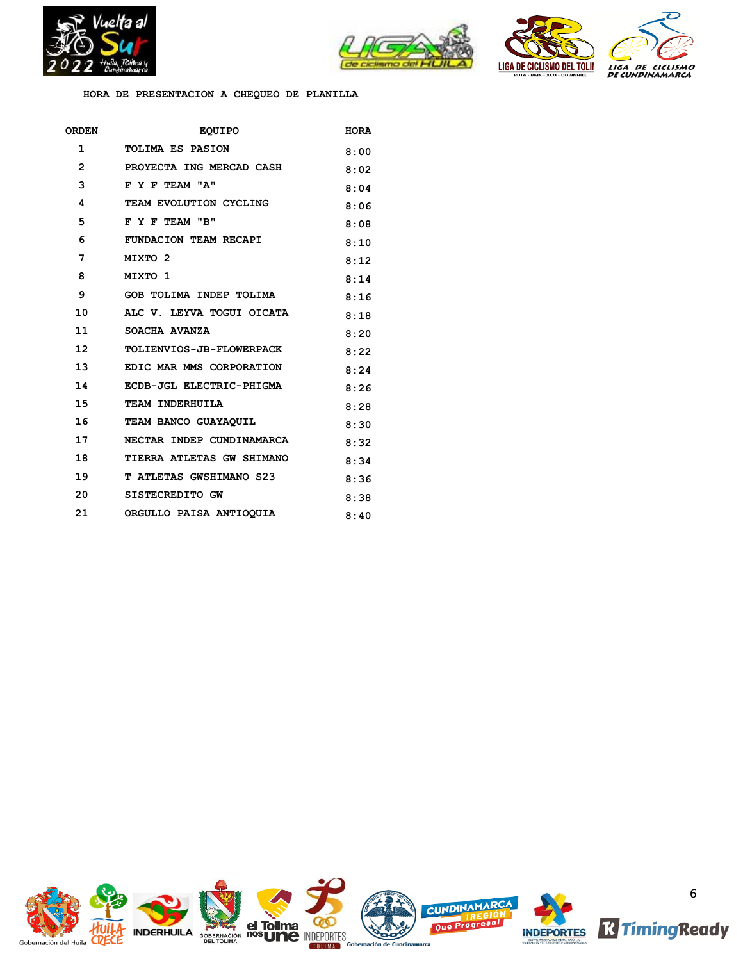



**HORA DE PRESENTACION A CHEQUEO DE PLANILLA**

| ORDEN             | <b>EQUIPO</b>                  | <b>HORA</b> |
|-------------------|--------------------------------|-------------|
| 1                 | <b>TOLIMA ES PASION</b>        | 8:00        |
| $\mathbf{2}$      | PROYECTA ING MERCAD CASH       | 8:02        |
| 3                 | F Y F TEAM "A"                 | 8:04        |
| 4                 | TEAM EVOLUTION CYCLING         | 8:06        |
| 5                 | F Y F TEAM "B"                 | 8:08        |
| 6                 | FUNDACION TEAM RECAPI          | 8:10        |
| 7                 | MIXTO <sub>2</sub>             | 8:12        |
| 8                 | MIXTO 1                        | 8:14        |
| 9                 | GOB TOLIMA INDEP TOLIMA        | 8:16        |
| 10                | ALC V. LEYVA TOGUI OICATA      | 8:18        |
| 11                | SOACHA AVANZA                  | 8:20        |
| $12 \overline{ }$ | TOLIENVIOS-JB-FLOWERPACK       | 8:22        |
| 13 <sup>7</sup>   | EDIC MAR MMS CORPORATION       | 8:24        |
| 14                | ECDB-JGL ELECTRIC-PHIGMA       | 8:26        |
| 15                | TEAM INDERHUILA                | 8:28        |
| 16                | TEAM BANCO GUAYAQUIL           | 8:30        |
| 17                | NECTAR INDEP CUNDINAMARCA      | 8:32        |
| 18                | TIERRA ATLETAS GW SHIMANO      | 8:34        |
| 19                | <b>T ATLETAS GWSHIMANO S23</b> | 8:36        |
| 20                | SISTECREDITO GW                | 8:38        |
| 21                | ORGULLO PAISA ANTIOQUIA        | 8:40        |

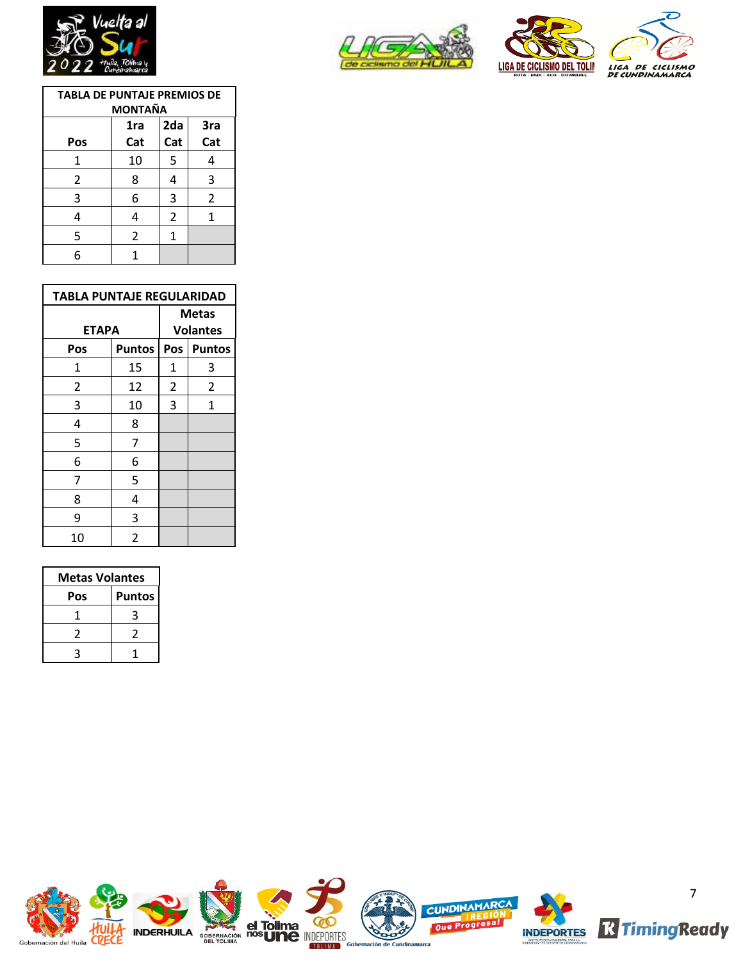







| <b>TABLA DE PUNTAJE PREMIOS DE</b><br><b>MONTAÑA</b> |     |                |     |  |
|------------------------------------------------------|-----|----------------|-----|--|
|                                                      | 1ra | 2da            | 3ra |  |
| Pos                                                  | Cat | Cat            | Cat |  |
| 1                                                    | 10  | 5              | 4   |  |
| 2                                                    | 8   | 4              | 3   |  |
| 3                                                    | 6   | 3              | 2   |  |
| 4                                                    | 4   | $\overline{2}$ | 1   |  |
| 5                                                    | 2   | 1              |     |  |
| 6                                                    | 1   |                |     |  |

| <b>TABLA PUNTAJE REGULARIDAD</b> |               |                          |                |  |
|----------------------------------|---------------|--------------------------|----------------|--|
| <b>ETAPA</b>                     |               | Metas<br><b>Volantes</b> |                |  |
|                                  |               |                          |                |  |
| Pos                              | <b>Puntos</b> | Pos                      | <b>Puntos</b>  |  |
| 1                                | 15            | 1                        | 3              |  |
| 2                                | 12            | $\overline{2}$           | $\overline{2}$ |  |
| 3                                | 10            | 3                        | 1              |  |
| 4                                | 8             |                          |                |  |
| 5                                | 7             |                          |                |  |
| 6                                | 6             |                          |                |  |
| 7                                | 5             |                          |                |  |
| 8                                | 4             |                          |                |  |
| 9                                | 3             |                          |                |  |
| 10                               | 2             |                          |                |  |

| <b>Metas Volantes</b> |               |  |  |
|-----------------------|---------------|--|--|
| Pos                   | <b>Puntos</b> |  |  |
|                       | ς             |  |  |
| 2                     | 7             |  |  |
|                       |               |  |  |